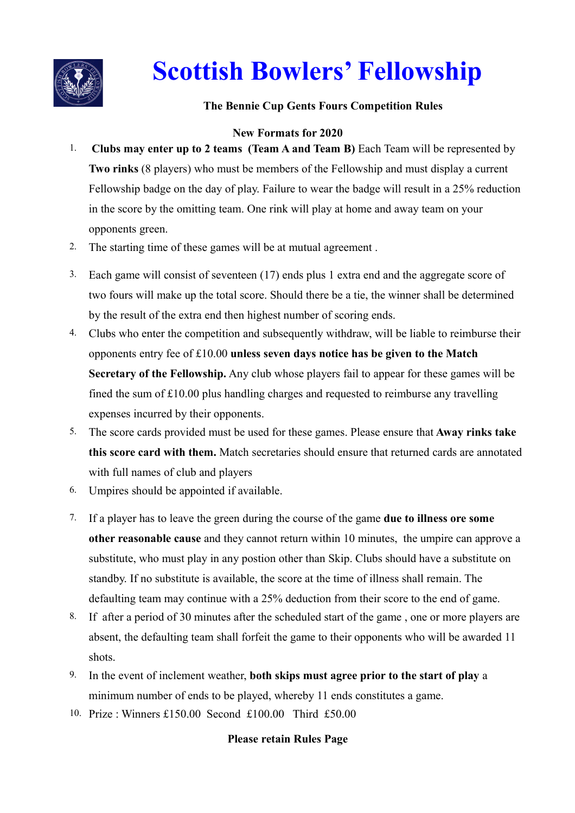

# **Scottish Bowlers' Fellowship**

### **The Bennie Cup Gents Fours Competition Rules**

## **New Formats for 2020**

- 1. **Clubs may enter up to 2 teams (Team A and Team B)** Each Team will be represented by **Two rinks** (8 players) who must be members of the Fellowship and must display a current Fellowship badge on the day of play. Failure to wear the badge will result in a 25% reduction in the score by the omitting team. One rink will play at home and away team on your opponents green.
- 2. The starting time of these games will be at mutual agreement .
- 3. Each game will consist of seventeen (17) ends plus 1 extra end and the aggregate score of two fours will make up the total score. Should there be a tie, the winner shall be determined by the result of the extra end then highest number of scoring ends.
- 4. Clubs who enter the competition and subsequently withdraw, will be liable to reimburse their opponents entry fee of £10.00 **unless seven days notice has be given to the Match Secretary of the Fellowship.** Any club whose players fail to appear for these games will be fined the sum of £10.00 plus handling charges and requested to reimburse any travelling expenses incurred by their opponents.
- 5. The score cards provided must be used for these games. Please ensure that **Away rinks take this score card with them.** Match secretaries should ensure that returned cards are annotated with full names of club and players
- 6. Umpires should be appointed if available.
- 7. If a player has to leave the green during the course of the game **due to illness ore some other reasonable cause** and they cannot return within 10 minutes, the umpire can approve a substitute, who must play in any postion other than Skip. Clubs should have a substitute on standby. If no substitute is available, the score at the time of illness shall remain. The defaulting team may continue with a 25% deduction from their score to the end of game.
- 8. If after a period of 30 minutes after the scheduled start of the game , one or more players are absent, the defaulting team shall forfeit the game to their opponents who will be awarded 11 shots.
- 9. In the event of inclement weather, **both skips must agree prior to the start of play** a minimum number of ends to be played, whereby 11 ends constitutes a game.
- 10. Prize : Winners £150.00 Second £100.00 Third £50.00

#### **Please retain Rules Page**